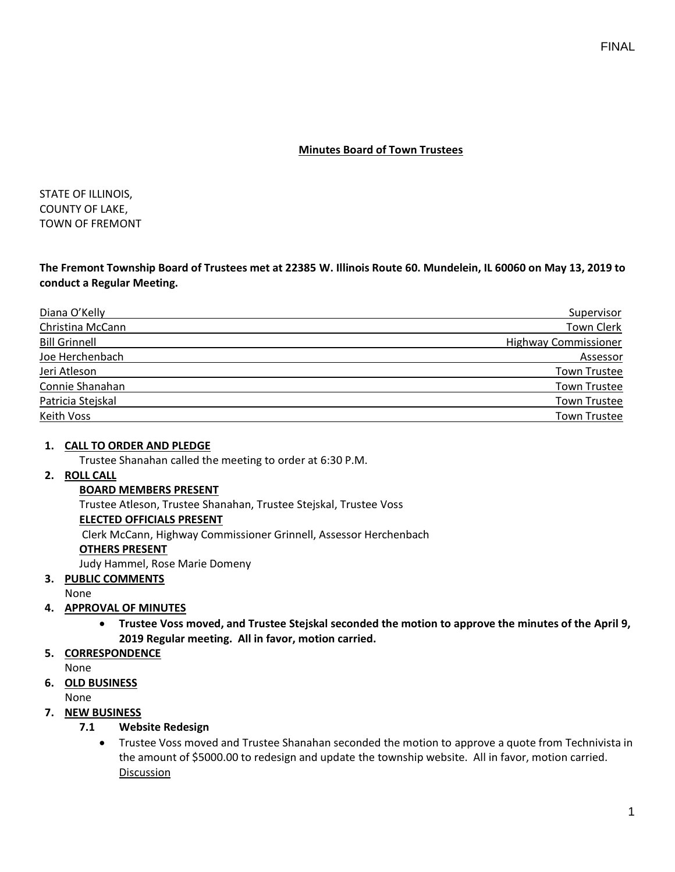## **Minutes Board of Town Trustees**

STATE OF ILLINOIS, COUNTY OF LAKE, TOWN OF FREMONT

**The Fremont Township Board of Trustees met at 22385 W. Illinois Route 60. Mundelein, IL 60060 on May 13, 2019 to conduct a Regular Meeting.**

| Diana O'Kelly        | Supervisor                  |
|----------------------|-----------------------------|
| Christina McCann     | Town Clerk                  |
| <b>Bill Grinnell</b> | <b>Highway Commissioner</b> |
| Joe Herchenbach      | Assessor                    |
| Jeri Atleson         | <b>Town Trustee</b>         |
| Connie Shanahan      | <b>Town Trustee</b>         |
| Patricia Stejskal    | <b>Town Trustee</b>         |
| <b>Keith Voss</b>    | <b>Town Trustee</b>         |

### **1. CALL TO ORDER AND PLEDGE**

Trustee Shanahan called the meeting to order at 6:30 P.M.

## **2. ROLL CALL**

### **BOARD MEMBERS PRESENT**

Trustee Atleson, Trustee Shanahan, Trustee Stejskal, Trustee Voss

### **ELECTED OFFICIALS PRESENT**

Clerk McCann, Highway Commissioner Grinnell, Assessor Herchenbach

### **OTHERS PRESENT**

Judy Hammel, Rose Marie Domeny

### **3. PUBLIC COMMENTS**

None

## **4. APPROVAL OF MINUTES**

- **Trustee Voss moved, and Trustee Stejskal seconded the motion to approve the minutes of the April 9, 2019 Regular meeting. All in favor, motion carried.**
- **5. CORRESPONDENCE**

None

## **6. OLD BUSINESS**

None

## **7. NEW BUSINESS**

## **7.1 Website Redesign**

• Trustee Voss moved and Trustee Shanahan seconded the motion to approve a quote from Technivista in the amount of \$5000.00 to redesign and update the township website. All in favor, motion carried. Discussion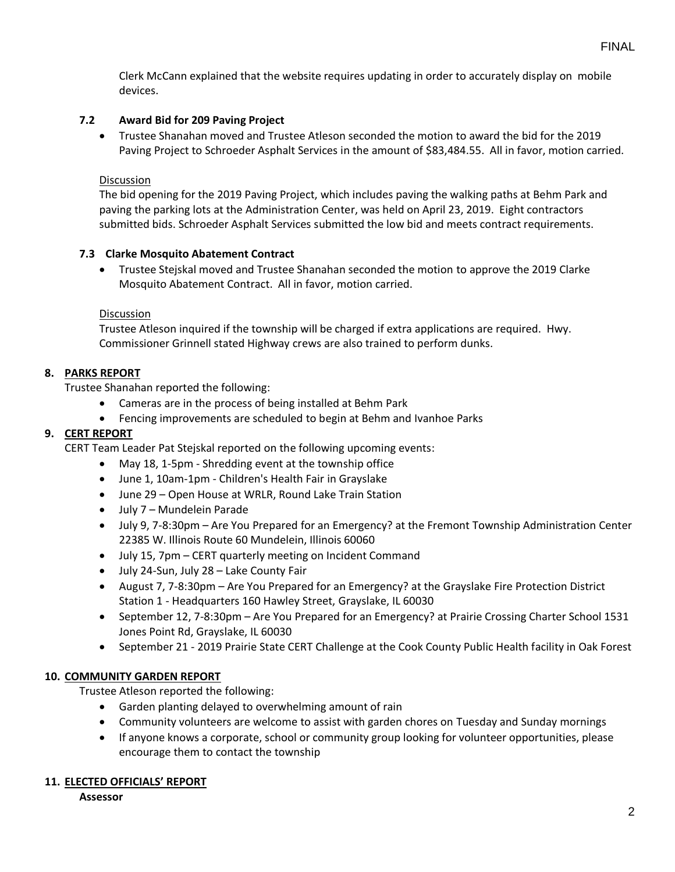Clerk McCann explained that the website requires updating in order to accurately display on mobile devices.

# **7.2 Award Bid for 209 Paving Project**

• Trustee Shanahan moved and Trustee Atleson seconded the motion to award the bid for the 2019 Paving Project to Schroeder Asphalt Services in the amount of \$83,484.55. All in favor, motion carried.

### **Discussion**

The bid opening for the 2019 Paving Project, which includes paving the walking paths at Behm Park and paving the parking lots at the Administration Center, was held on April 23, 2019. Eight contractors submitted bids. Schroeder Asphalt Services submitted the low bid and meets contract requirements.

## **7.3 Clarke Mosquito Abatement Contract**

• Trustee Stejskal moved and Trustee Shanahan seconded the motion to approve the 2019 Clarke Mosquito Abatement Contract. All in favor, motion carried.

### Discussion

Trustee Atleson inquired if the township will be charged if extra applications are required. Hwy. Commissioner Grinnell stated Highway crews are also trained to perform dunks.

## **8. PARKS REPORT**

Trustee Shanahan reported the following:

- Cameras are in the process of being installed at Behm Park
- Fencing improvements are scheduled to begin at Behm and Ivanhoe Parks

# **9. CERT REPORT**

CERT Team Leader Pat Stejskal reported on the following upcoming events:

- May 18, 1-5pm Shredding event at the township office
- June 1, 10am-1pm Children's Health Fair in Grayslake
- June 29 Open House at WRLR, Round Lake Train Station
- July 7 Mundelein Parade
- July 9, 7-8:30pm Are You Prepared for an Emergency? at the Fremont Township Administration Center 22385 W. Illinois Route 60 Mundelein, Illinois 60060
- July 15, 7pm CERT quarterly meeting on Incident Command
- July 24-Sun, July 28 Lake County Fair
- August 7, 7-8:30pm Are You Prepared for an Emergency? at the Grayslake Fire Protection District Station 1 - Headquarters 160 Hawley Street, Grayslake, IL 60030
- September 12, 7-8:30pm Are You Prepared for an Emergency? at Prairie Crossing Charter School 1531 Jones Point Rd, Grayslake, IL 60030
- September 21 2019 Prairie State CERT Challenge at the Cook County Public Health facility in Oak Forest

### **10. COMMUNITY GARDEN REPORT**

Trustee Atleson reported the following:

- Garden planting delayed to overwhelming amount of rain
- Community volunteers are welcome to assist with garden chores on Tuesday and Sunday mornings
- If anyone knows a corporate, school or community group looking for volunteer opportunities, please encourage them to contact the township

### **11. ELECTED OFFICIALS' REPORT**

**Assessor**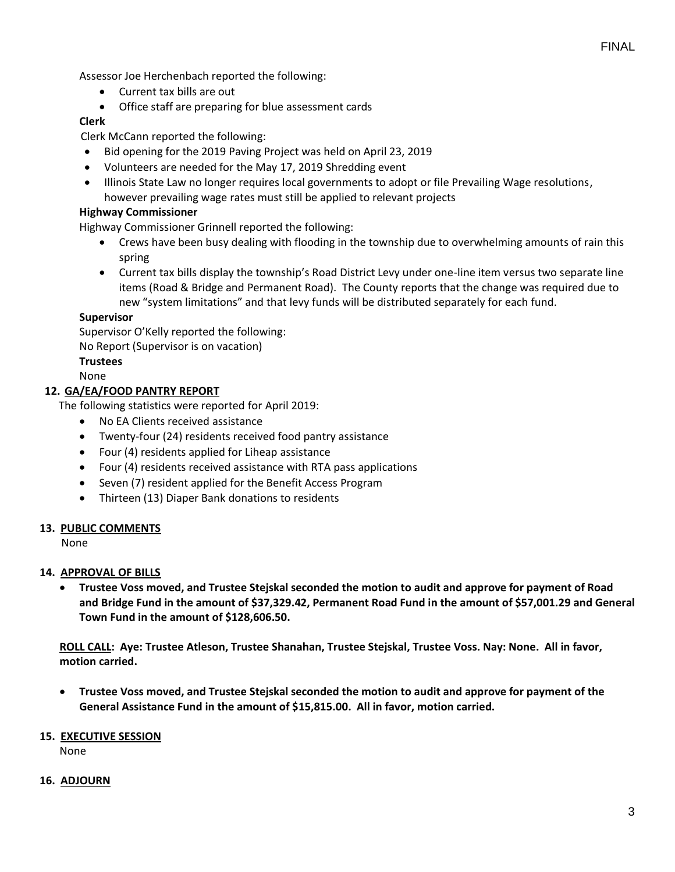Assessor Joe Herchenbach reported the following:

- Current tax bills are out
- Office staff are preparing for blue assessment cards

### **Clerk**

Clerk McCann reported the following:

- Bid opening for the 2019 Paving Project was held on April 23, 2019
- Volunteers are needed for the May 17, 2019 Shredding event
- Illinois State Law no longer requires local governments to adopt or file Prevailing Wage resolutions, however prevailing wage rates must still be applied to relevant projects

### **Highway Commissioner**

Highway Commissioner Grinnell reported the following:

- Crews have been busy dealing with flooding in the township due to overwhelming amounts of rain this spring
- Current tax bills display the township's Road District Levy under one-line item versus two separate line items (Road & Bridge and Permanent Road). The County reports that the change was required due to new "system limitations" and that levy funds will be distributed separately for each fund.

### **Supervisor**

Supervisor O'Kelly reported the following:

No Report (Supervisor is on vacation)

### **Trustees**

None

### **12. GA/EA/FOOD PANTRY REPORT**

The following statistics were reported for April 2019:

- No EA Clients received assistance
- Twenty-four (24) residents received food pantry assistance
- Four (4) residents applied for Liheap assistance
- Four (4) residents received assistance with RTA pass applications
- Seven (7) resident applied for the Benefit Access Program
- Thirteen (13) Diaper Bank donations to residents

### **13. PUBLIC COMMENTS**

None

### **14. APPROVAL OF BILLS**

• **Trustee Voss moved, and Trustee Stejskal seconded the motion to audit and approve for payment of Road and Bridge Fund in the amount of \$37,329.42, Permanent Road Fund in the amount of \$57,001.29 and General Town Fund in the amount of \$128,606.50.**

**ROLL CALL: Aye: Trustee Atleson, Trustee Shanahan, Trustee Stejskal, Trustee Voss. Nay: None. All in favor, motion carried.**

• **Trustee Voss moved, and Trustee Stejskal seconded the motion to audit and approve for payment of the General Assistance Fund in the amount of \$15,815.00. All in favor, motion carried.**

### **15. EXECUTIVE SESSION**

None

### **16. ADJOURN**